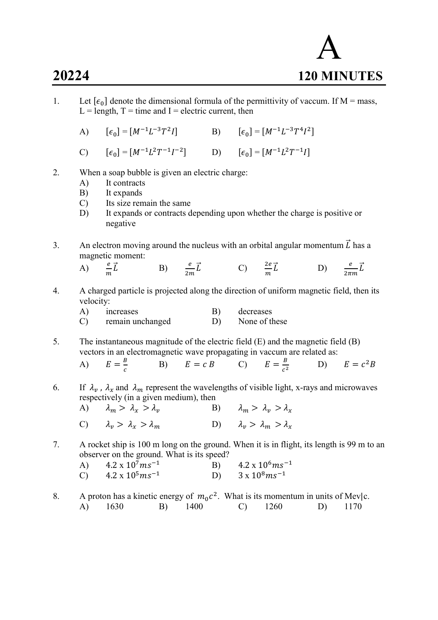1. Let  $[\epsilon_0]$  denote the dimensional formula of the permittivity of vaccum. If M = mass,  $L =$  length,  $T =$  time and I = electric current, then  $(A)$  $] = [M^{-1}L^{-3}T^2]$ I] B)  $[\epsilon_0] = [M^{-1}L^{-3}T^4I^2]$ C)  $[\epsilon_0] = [M^{-1}L^2T^{-1}I^{-2}]$  D)  $[\epsilon_0] = [M^{-1}L^2T^{-1}I]$ 2. When a soap bubble is given an electric charge: A) It contracts B) It expands C) Its size remain the same D) It expands or contracts depending upon whether the charge is positive or negative 3. An electron moving around the nucleus with an orbital angular momentum  $\vec{L}$  has a magnetic moment: A)  $\frac{e}{m}\vec{L}$  $\vec{L}$  B)  $\frac{e}{2m}\vec{L}$  C)  $\frac{2e}{m}$  $\vec{L}$  D)  $\frac{e}{2\pi m}\vec{L}$ 4. A charged particle is projected along the direction of uniform magnetic field, then its velocity: A) increases B) decreases C) remain unchanged D) None of these 5. The instantaneous magnitude of the electric field (E) and the magnetic field (B) vectors in an electromagnetic wave propagating in vaccum are related as: A)  $E = \frac{B}{a}$  $\mathcal{C}_{0}^{0}$ B)  $E = c B$  C)  $E = \frac{B}{c^2}$  $c^2$  $(D)$   $E = c^2 B$ 6. If  $\lambda_v$ ,  $\lambda_x$  and  $\lambda_m$  represent the wavelengths of visible light, x-rays and microwaves respectively (in a given medium), then A)  $\lambda_m > \lambda_r > \lambda_n$  B)  $\lambda_m > \lambda_r > \lambda_r$ C)  $\lambda_n > \lambda_n > \lambda_m$  D)  $\lambda_n > \lambda_m > \lambda_n$ 7. A rocket ship is 100 m long on the ground. When it is in flight, its length is 99 m to an observer on the ground. What is its speed? A)  $4.2 \times 10^7 \text{m s}^{-1}$  B)  $4.2 \times 10^6 \text{m s}^{-1}$ <br>C)  $4.2 \times 10^5 \text{m s}^{-1}$  D)  $3 \times 10^8 \text{m s}^{-1}$ C)  $4.2 \times 10^5 \text{m s}^{-1}$  D) 8. A proton has a kinetic energy of  $m_0 c^2$ . What is its momentum in units of Mev|c. A) 1630 B) 1400 C) 1260 D) 1170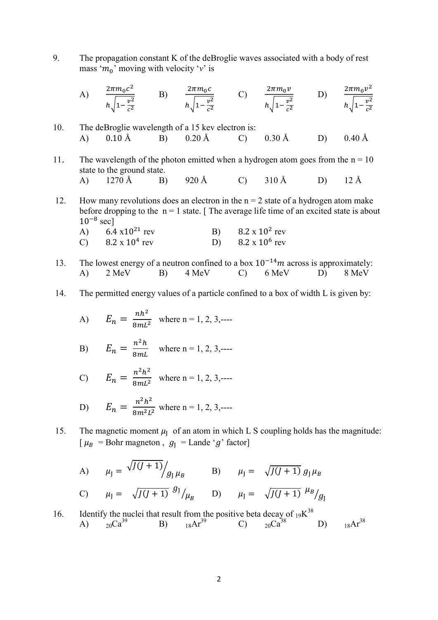9. The propagation constant K of the deBroglie waves associated with a body of rest mass ' $m_0$ ' moving with velocity 'v' is

A) 
$$
\frac{2\pi m_0 c^2}{h \sqrt{1 - \frac{v^2}{c^2}}}
$$
 B)  $\frac{2\pi m_0 c}{h \sqrt{1 - \frac{v^2}{c^2}}}$  C)  $\frac{2\pi m_0 v}{h \sqrt{1 - \frac{v^2}{c^2}}}$  D)  $\frac{2\pi m_0 v^2}{h \sqrt{1 - \frac{v^2}{c^2}}}$ 

10. The deBroglie wavelength of a 15 kev electron is: A) 0.10 Å B) 0.20 Å C) 0.30 Å D) 0.40 Å

11. The wavelength of the photon emitted when a hydrogen atom goes from the  $n = 10$  state to the ground state. A) 1270 Å B) 920 Å C) 310 Å D) 12 Å

12. How many revolutions does an electron in the  $n = 2$  state of a hydrogen atom make before dropping to the  $n = 1$  state. [ The average life time of an excited state is about  $10^{-8}$  sec]

| A) 6.4 $\times 10^{21}$ rev | B) $8.2 \times 10^2$ rev |
|-----------------------------|--------------------------|
| C) 8.2 x $10^4$ rev         | D) $8.2 \times 10^6$ rev |

- 13. The lowest energy of a neutron confined to a box  $10^{-14}m$  across is approximately:<br>
A) 2 MeV B) 4 MeV C) 6 MeV D) 8 MeV A) 2 MeV B) 4 MeV C) 6 MeV D) 8 MeV
- 14. The permitted energy values of a particle confined to a box of width L is given by:

A) 
$$
E_n = \frac{nh^2}{8mL^2}
$$
 where n = 1, 2, 3,---

B) 
$$
E_n = \frac{n^2 h}{8mL}
$$
 where n = 1, 2, 3,---

C) 
$$
E_n = \frac{n^2 h^2}{8mL^2}
$$
 where n = 1, 2, 3,---

D) 
$$
E_n = \frac{n^2 h^2}{8m^2 L^2}
$$
 where n = 1, 2, 3,---

15. The magnetic moment  $\mu$  of an atom in which L S coupling holds has the magnitude:  $[\mu_B = \text{Bohr}$  magneton,  $g_J = \text{Lande } g'$  factor]

A) 
$$
\mu_{J} = \sqrt{J(J+1)} / g_{J} \mu_{B}
$$
 B)  $\mu_{J} = \sqrt{J(J+1)} g_{J} \mu_{B}$   
\nC)  $\mu_{J} = \sqrt{J(J+1)} g_{J} / \mu_{B}$  D)  $\mu_{J} = \sqrt{J(J+1)} g_{J} / g_{J}$ 

16. Identify the nuclei that result from the positive beta decay of 
$$
{}_{19}K^{38}
$$
  
\nA)  ${}_{20}Ca^{39}$  B)  ${}_{18}Ar^{39}$  C)  ${}_{20}Ca^{38}$  D)  ${}_{18}Ar^{38}$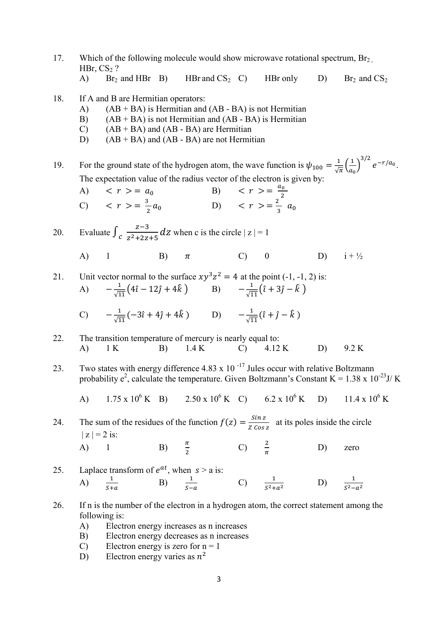- 17. Which of the following molecule would show microwave rotational spectrum,  $Br<sub>2</sub>$ , HBr,  $CS<sub>2</sub>$ ?
	- A) Br<sub>2</sub> and HBr B) HBr and CS<sub>2</sub> C) HBr only D) Br<sub>2</sub> and CS<sub>2</sub>
- 18. If A and B are Hermitian operators:
	- A)  $(AB + BA)$  is Hermitian and  $(AB BA)$  is not Hermitian
	- B)  $(AB + BA)$  is not Hermitian and  $(AB BA)$  is Hermitian
	- C)  $(AB + BA)$  and  $(AB BA)$  are Hermitian
	- D)  $(AB + BA)$  and  $(AB BA)$  are not Hermitian

19. For the ground state of the hydrogen atom, the wave function is  $\psi_{100} = \frac{1}{\sqrt{\pi}}$  $rac{1}{\sqrt{\pi}}\left(\frac{1}{a_0}\right)$  $\left(\frac{1}{a_0}\right)^{3/2}e^{-r/a_0}.$ The expectation value of the radius vector of the electron is given by:

A)  $\langle r \rangle = a_0$  B)  $\langle r \rangle = \frac{a_0}{2}$ <br>C)  $\langle r \rangle = \frac{3}{2} a_0$  D)  $\langle r \rangle = \frac{2}{3} a_0$ C)  $\langle r \rangle = \frac{3}{2}$ 

20. Evaluate  $\int_{C} \frac{z-3}{z^2+2z}$  $\frac{z-3}{z^2+2z+5}$  dz when c is the circle  $|z|=1$ 

- A) 1 B)  $\pi$  C) 0 D)  $i + \frac{1}{2}$
- 21. Unit vector normal to the surface  $xy^3z^2 = 4$  at the point (-1, -1, 2) is:  $(A)$   $-\frac{1}{\sqrt{1}}$  $rac{1}{\sqrt{11}}(4\hat{i} - 12\hat{j} + 4\hat{k})$  B)  $-\frac{1}{\sqrt{1}}$  $\frac{1}{\sqrt{11}}(\hat{i}+3\hat{j}-\hat{k})$ C)  $-\frac{1}{\sqrt{1}}$  $\frac{1}{\sqrt{11}}(-3\hat{i}+4\hat{j}+4\hat{k})$  D)  $-\frac{1}{\sqrt{1}}$  $\frac{1}{\sqrt{11}}(\hat{i} + \hat{j} - \hat{k})$
- 22. The transition temperature of mercury is nearly equal to: A) 1 K B) 1.4 K C) 4.12 K D) 9.2 K
- 23. Two states with energy difference 4.83 x 10<sup> $-17$ </sup> Jules occur with relative Boltzmann probability  $e^2$ , calculate the temperature. Given Boltzmann's Constant K = 1.38 x 10<sup>-23</sup>J/K
- A)  $1.75 \times 10^6$  K B)  $2.50 \times 10^6$  K C)  $6.2 \times 10^6$  $(K \t D)$  11.4 x 10<sup>6</sup> K

24. The sum of the residues of the function  $f(z) = \frac{\sin z}{z}$  $\frac{3\pi z}{Z \cos z}$  at its poles inside the circle  $|z| = 2$  is:  $A)$  1 B)  $\frac{\pi}{2}$  C)  $\frac{2}{\pi}$ D) zero

25. Laplace transform of  $e^{at}$ , when  $s > a$  is: A)  $\frac{1}{s+a}$  B)  $\frac{1}{s-a}$  C)  $\frac{1}{s^2+a^2}$  $D)$  $S^2-a^2$ 

- 26. If n is the number of the electron in a hydrogen atom, the correct statement among the following is:
	- A) Electron energy increases as n increases
	- B) Electron energy decreases as n increases
	- C) Electron energy is zero for  $n = 1$
- D) Electron energy varies as  $n^2$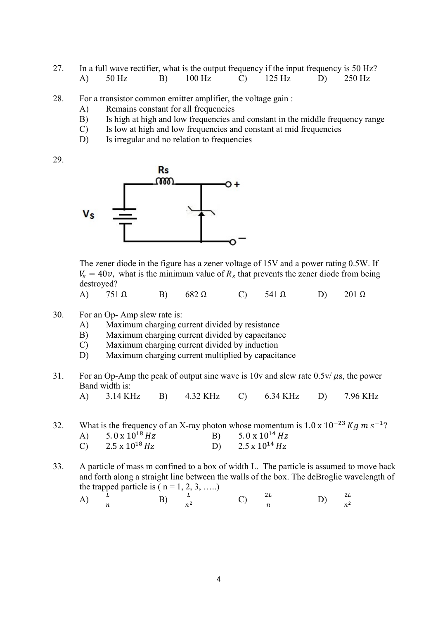- 27. In a full wave rectifier, what is the output frequency if the input frequency is 50 Hz? A) 50 Hz B) 100 Hz C) 125 Hz D) 250 Hz
- 28. For a transistor common emitter amplifier, the voltage gain :
	- A) Remains constant for all frequencies
	- B) Is high at high and low frequencies and constant in the middle frequency range
	- C) Is low at high and low frequencies and constant at mid frequencies
	- D) Is irregular and no relation to frequencies

29.



 The zener diode in the figure has a zener voltage of 15V and a power rating 0.5W. If  $V_s = 40v$ , what is the minimum value of  $R_s$  that prevents the zener diode from being destroyed?

A) 
$$
751 \Omega
$$
 B)  $682 \Omega$  C)  $541 \Omega$  D)  $201 \Omega$ 

- 30. For an Op- Amp slew rate is:
	- A) Maximum charging current divided by resistance
	- B) Maximum charging current divided by capacitance
	- C) Maximum charging current divided by induction
	- D) Maximum charging current multiplied by capacitance
- 31. For an Op-Amp the peak of output sine wave is 10v and slew rate 0.5v/ $\mu$ s, the power Band width is:

A) 3.14 KHz B) 4.32 KHz C) 6.34 KHz D) 7.96 KHz

32. What is the frequency of an X-ray photon whose momentum is  $1.0 \times 10^{-23}$  Kg m s<sup>-1</sup>? A)  $5.0 \times 10^{18}$  Hz<br>
C)  $2.5 \times 10^{18}$  Hz<br>
B)  $5.0 \times 10^{14}$  Hz<br>
D)  $2.5 \times 10^{14}$  Hz C)  $2.5 \times 10^{18}$  Hz D)

33. A particle of mass m confined to a box of width L. The particle is assumed to move back and forth along a straight line between the walls of the box. The deBroglie wavelength of the trapped particle is  $(n = 1, 2, 3, \ldots)$ 

 $\ddot{\phantom{0}}$ 

A) 
$$
\frac{L}{n}
$$
 \t\t B)  $\frac{L}{n^2}$  \t\t C)  $\frac{2L}{n}$  \t\t D)  $\frac{2L}{n^2}$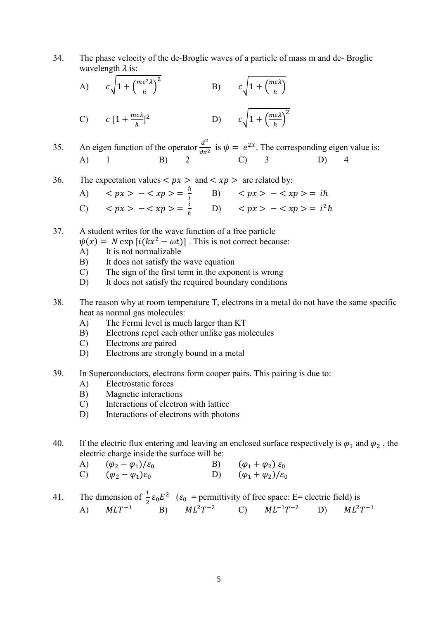34. The phase velocity of the de-Broglie waves of a particle of mass m and de- Broglie wavelength  $\lambda$  is:

A) 
$$
c\sqrt{1 + \left(\frac{mc^2\lambda}{h}\right)^2}
$$
 B)  $c\sqrt{1 + \left(\frac{mc\lambda}{h}\right)^2}$   
C)  $c[1 + \frac{mc\lambda}{h}]^2$  D)  $c\sqrt{1 + \left(\frac{mc\lambda}{h}\right)^2}$ 

35. An eigen function of the operator  $\frac{d^2}{dx^2}$  $rac{d^2}{dx^2}$  is  $\psi = e^{2x}$ . The corresponding eigen value is: A) 1 B) 2 C) 3 D) 4

36. The expectation values 
$$
\langle px \rangle
$$
 and  $\langle xp \rangle$  are related by:\n\nA)  $\langle px \rangle - \langle xp \rangle = \frac{\hbar}{i}$ \n\nB)  $\langle px \rangle - \langle xp \rangle = i\hbar$ \n\nC)  $\langle px \rangle - \langle xp \rangle = \frac{i}{\hbar}$ \n\nD)  $\langle px \rangle - \langle xp \rangle = i^2\hbar$ 

37. A student writes for the wave function of a free particle

- $\psi(x) = N \exp[i(kx^2 \omega t)]$ . This is not correct because:
- A) It is not normalizable
- B) It does not satisfy the wave equation
- C) The sign of the first term in the exponent is wrong
- D) It does not satisfy the required boundary conditions
- 38. The reason why at room temperature T, electrons in a metal do not have the same specific heat as normal gas molecules:
	- A) The Fermi level is much larger than KT
	- B) Electrons repel each other unlike gas molecules
	- C) Electrons are paired
	- D) Electrons are strongly bound in a metal
- 39. In Superconductors, electrons form cooper pairs. This pairing is due to:
	- A) Electrostatic forces
	- B) Magnetic interactions
	- C) Interactions of electron with lattice
	- D) Interactions of electrons with photons
- 40. If the electric flux entering and leaving an enclosed surface respectively is  $\varphi_1$  and  $\varphi_2$ , the electric charge inside the surface will be:
- A)  $(\varphi_2 \varphi_1)/\varepsilon_0$  B)  $(\varphi_1 + \varphi_2) \varepsilon_0$ C)  $(\varphi_2 - \varphi_1)\varepsilon_0$  D)  $(\varphi_1 + \varphi_2)/\varepsilon_0$

41. The dimension of  $\frac{1}{2} \varepsilon_0 E^2$  ( $\varepsilon_0$  = permittivity of free space: E= electric field) is A)  $MLT^{-1}$  B)  $ML^{2}T^{-2}$  C)  $ML^{-1}T^{-2}$  D)  $ML^{2}T^{-1}$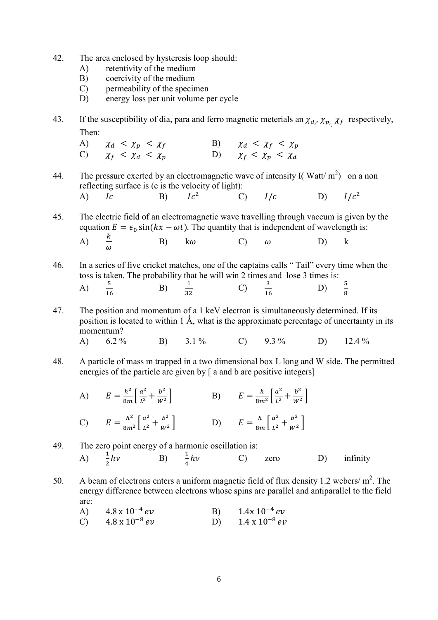- 42. The area enclosed by hysteresis loop should:
	- A) retentivity of the medium
	- B) coercivity of the medium
	- C) permeability of the specimen
	- D) energy loss per unit volume per cycle
- 43. If the susceptibility of dia, para and ferro magnetic meterials an  $\chi_{d}$ ,  $\chi_{p}$ ,  $\chi_f$  respectively, Then:
- A)  $\chi_d < \chi_p < \chi_f$  B)  $\chi_d < \chi_f < \chi_p$ C)  $\chi_f < \chi_d < \chi_p$  D)  $\chi_f < \chi_p < \chi_d$
- 44. The pressure exerted by an electromagnetic wave of intensity I(Watt/m<sup>2</sup>) on a non reflecting surface is (c is the velocity of light): A)  $Ic$  B)  $Ic^2$ C)  $I/c$  D)  $I/c^2$

45. The electric field of an electromagnetic wave travelling through vaccum is given by the equation  $E = \epsilon_0 \sin(kx - \omega t)$ . The quantity that is independent of wavelength is: A)  $\omega$ B) k  $\omega$  C)  $\omega$  D) k

46. In a series of five cricket matches, one of the captains calls " Tail" every time when the toss is taken. The probability that he will win 2 times and lose 3 times is:  $\overline{A}$  $rac{5}{16}$  $B)$ 32 C) ଵ  $(D)$   $\frac{5}{6}$  $\frac{5}{8}$ 

- 47. The position and momentum of a 1 keV electron is simultaneously determined. If its position is located to within 1  $\AA$ , what is the approximate percentage of uncertainty in its momentum? A)  $6.2\%$  B)  $3.1\%$  C)  $9.3\%$  D)  $12.4\%$
- 48. A particle of mass m trapped in a two dimensional box L long and W side. The permitted energies of the particle are given by [ a and b are positive integers]
- A)  $E = \frac{h^2}{8m} \left[ \frac{a^2}{L^2} \right]$  $\frac{a^2}{L^2} + \frac{b^2}{W^2}$  $\left[\frac{b^2}{W^2}\right]$  B)  $E = \frac{h}{8m}$  $rac{h}{8m^2} \left[ \frac{a^2}{L^2} \right]$  $\frac{a^2}{L^2} + \frac{b^2}{W^2}$  $\frac{v}{W^2}$

C) 
$$
E = \frac{h^2}{8m^2} \left[ \frac{a^2}{L^2} + \frac{b^2}{W^2} \right]
$$
 D)  $E = \frac{h}{8m} \left[ \frac{a^2}{L^2} + \frac{b^2}{W^2} \right]$ 

## 49. The zero point energy of a harmonic oscillation is: A)  $\frac{1}{2}$ hv B)  $\frac{1}{4}$ ℎ C) zero D) infinity

50. A beam of electrons enters a uniform magnetic field of flux density 1.2 webers/ $m^2$ . The energy difference between electrons whose spins are parallel and antiparallel to the field are:

A) 
$$
4.8 \times 10^{-4} \, \text{eV}
$$
 B)  $1.4 \times 10^{-4} \, \text{eV}$ 

C) 
$$
4.8 \times 10^{-8} \, eV
$$
 D)  $1.4 \times 10^{-8} \, eV$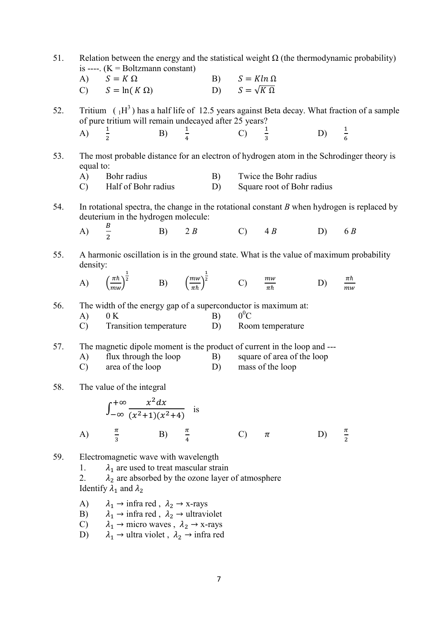| 51. | Relation between the energy and the statistical weight $\Omega$ (the thermodynamic probability)<br>is ----. $(K = Boltzmann constant)$ |                                                                                                                                                                                            |  |  |                                                                          |               |                                                     |                          |                                                                                              |
|-----|----------------------------------------------------------------------------------------------------------------------------------------|--------------------------------------------------------------------------------------------------------------------------------------------------------------------------------------------|--|--|--------------------------------------------------------------------------|---------------|-----------------------------------------------------|--------------------------|----------------------------------------------------------------------------------------------|
|     |                                                                                                                                        | A) $S = K \Omega$<br>C) $S = \ln(K \Omega)$                                                                                                                                                |  |  | B) $S = Kln \Omega$<br>B) $S = K \ln \Omega$<br>D) $S = \sqrt{K \Omega}$ |               |                                                     |                          |                                                                                              |
| 52. |                                                                                                                                        | of pure tritium will remain undecayed after 25 years?                                                                                                                                      |  |  |                                                                          |               |                                                     |                          | Tritium $(1H^3)$ has a half life of 12.5 years against Beta decay. What fraction of a sample |
|     |                                                                                                                                        | A) $\frac{1}{2}$ B) $\frac{1}{4}$ C) $\frac{1}{3}$ D) $\frac{1}{6}$                                                                                                                        |  |  |                                                                          |               |                                                     |                          |                                                                                              |
| 53. | equal to:                                                                                                                              |                                                                                                                                                                                            |  |  |                                                                          |               |                                                     |                          | The most probable distance for an electron of hydrogen atom in the Schrodinger theory is     |
|     | A)                                                                                                                                     | Bohr radius<br>C) Half of Bohr radius                                                                                                                                                      |  |  | B)<br>D)                                                                 |               | Twice the Bohr radius<br>Square root of Bohr radius |                          |                                                                                              |
| 54. | In rotational spectra, the change in the rotational constant $B$ when hydrogen is replaced by<br>deuterium in the hydrogen molecule:   |                                                                                                                                                                                            |  |  |                                                                          |               |                                                     |                          |                                                                                              |
|     | A) $\frac{B}{2}$                                                                                                                       |                                                                                                                                                                                            |  |  |                                                                          |               | B) $2 B$ C) $4 B$ D) $6 B$                          |                          |                                                                                              |
| 55. | density:                                                                                                                               | A harmonic oscillation is in the ground state. What is the value of maximum probability                                                                                                    |  |  |                                                                          |               |                                                     |                          |                                                                                              |
|     |                                                                                                                                        | A) $\left(\frac{\pi\hbar}{m\omega}\right)^{\frac{1}{2}}$ B) $\left(\frac{m w}{\pi\hbar}\right)^{\frac{1}{2}}$ C) $\frac{m w}{\pi\hbar}$                                                    |  |  |                                                                          |               |                                                     | D) $\frac{\pi\hbar}{mw}$ |                                                                                              |
| 56. |                                                                                                                                        | The width of the energy gap of a superconductor is maximum at:<br>0 K                                                                                                                      |  |  |                                                                          | $0^0C$        |                                                     |                          |                                                                                              |
|     | A)                                                                                                                                     | C) Transition temperature D) Room temperature                                                                                                                                              |  |  | B)                                                                       |               |                                                     |                          |                                                                                              |
| 57. |                                                                                                                                        | The magnetic dipole moment is the product of current in the loop and ---                                                                                                                   |  |  |                                                                          |               |                                                     |                          |                                                                                              |
|     | A)<br>$\mathbf{C}$ )                                                                                                                   | flux through the loop<br>area of the loop D)                                                                                                                                               |  |  | <b>B</b> )                                                               |               | square of area of the loop<br>mass of the loop      |                          |                                                                                              |
| 58. |                                                                                                                                        | The value of the integral                                                                                                                                                                  |  |  |                                                                          |               |                                                     |                          |                                                                                              |
|     |                                                                                                                                        | $\int_{-\infty}^{+\infty} \frac{x^2 dx}{(x^2+1)(x^2+4)}$ is                                                                                                                                |  |  |                                                                          |               |                                                     |                          |                                                                                              |
|     | A)                                                                                                                                     | $\frac{\pi}{3}$ B) $\frac{\pi}{4}$                                                                                                                                                         |  |  |                                                                          | $\mathcal{C}$ | $\pi$                                               | D)                       | $\frac{\pi}{2}$                                                                              |
| 59. | 1.<br>2.                                                                                                                               | Electromagnetic wave with wavelength<br>$\lambda_1$ are used to treat mascular strain<br>$\lambda_2$ are absorbed by the ozone layer of atmosphere<br>Identify $\lambda_1$ and $\lambda_2$ |  |  |                                                                          |               |                                                     |                          |                                                                                              |
|     | A)<br>B)                                                                                                                               | $\lambda_1 \rightarrow \text{infra red}, \lambda_2 \rightarrow \text{x-rays}$<br>$\lambda_1 \rightarrow \text{infra red}, \lambda_2 \rightarrow \text{ultraviolet}$                        |  |  |                                                                          |               |                                                     |                          |                                                                                              |

- C)  $\lambda_1 \rightarrow$  micro waves,  $\lambda_2 \rightarrow$  x-rays
- D)  $\lambda_1 \rightarrow$  ultra violet,  $\lambda_2 \rightarrow$  infra red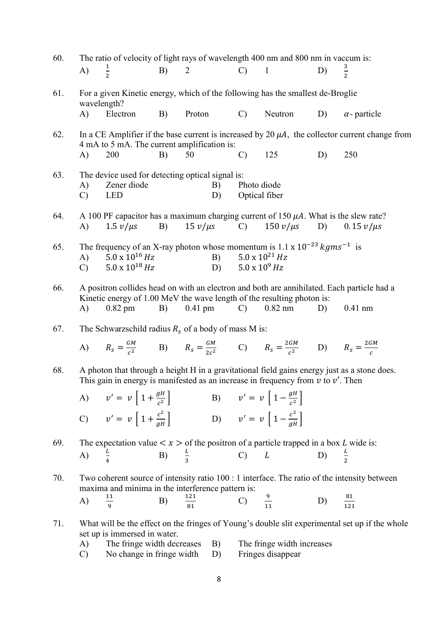| 60. |                              | The ratio of velocity of light rays of wavelength 400 nm and 800 nm in vaccum is:                                         |                  |                  |              |                              |                                                 |                     |                                                                                                     |
|-----|------------------------------|---------------------------------------------------------------------------------------------------------------------------|------------------|------------------|--------------|------------------------------|-------------------------------------------------|---------------------|-----------------------------------------------------------------------------------------------------|
|     | A)                           | $\frac{1}{2}$                                                                                                             | B)               | $\overline{2}$   |              | $\mathcal{C}$                | $\overline{1}$                                  | D)                  | $rac{3}{2}$                                                                                         |
| 61. |                              | For a given Kinetic energy, which of the following has the smallest de-Broglie<br>wavelength?                             |                  |                  |              |                              |                                                 |                     |                                                                                                     |
|     | A)                           | Electron                                                                                                                  | B)               |                  | Proton       | $\mathcal{C}$                | Neutron                                         | D)                  | $\alpha$ - particle                                                                                 |
| 62. |                              |                                                                                                                           |                  |                  |              |                              |                                                 |                     | In a CE Amplifier if the base current is increased by 20 $\mu$ A, the collector current change from |
|     | A)                           | 4 mA to 5 mA. The current amplification is:<br>200                                                                        | B)               | 50               |              | $\mathcal{C}$                | 125                                             | D)                  | 250                                                                                                 |
| 63. | A)<br>$\mathcal{C}$          | The device used for detecting optical signal is:<br>Zener diode<br><b>LED</b>                                             |                  |                  | B)<br>D)     | Photo diode<br>Optical fiber |                                                 |                     |                                                                                                     |
| 64. |                              | A 100 PF capacitor has a maximum charging current of 150 $\mu$ A. What is the slew rate?                                  |                  |                  |              |                              |                                                 |                     |                                                                                                     |
|     | A)                           | $1.5 v/\mu s$                                                                                                             | B)               |                  | $15 v/\mu s$ | $\mathcal{C}$ )              | $150 v/\mu s$                                   | D)                  | $0.15 \nu/\mu s$                                                                                    |
| 65. |                              | The frequency of an X-ray photon whose momentum is $1.1 \times 10^{-23}$ kgms <sup>-1</sup> is<br>$5.0 \times 10^{16}$ Hz |                  |                  | B)           |                              | $5.0 \times 10^{21}$ Hz                         |                     |                                                                                                     |
|     | $\mathbf{A}$<br>$\mathbf{C}$ | $5.0 \times 10^{18}$ Hz                                                                                                   |                  |                  |              | D) $5.0 \times 10^9$ Hz      |                                                 |                     |                                                                                                     |
| 66. |                              | Kinetic energy of 1.00 MeV the wave length of the resulting photon is:                                                    |                  |                  |              |                              |                                                 |                     | A positron collides head on with an electron and both are annihilated. Each particle had a          |
|     | A)                           | $0.82$ pm                                                                                                                 | B)               | $0.41$ pm        |              | $\mathcal{C}$ )              | $0.82$ nm                                       | D)                  | $0.41$ nm                                                                                           |
| 67. |                              | The Schwarzschild radius $R_s$ of a body of mass M is:                                                                    |                  |                  |              |                              |                                                 |                     |                                                                                                     |
|     |                              | A) $R_s = \frac{GM}{c^2}$ B) $R_s = \frac{GM}{2c^2}$ C) $R_s = \frac{2GM}{c^2}$ D) $R_s = \frac{2GM}{c}$                  |                  |                  |              |                              |                                                 |                     |                                                                                                     |
| 68. |                              | This gain in energy is manifested as an increase in frequency from $v$ to $v'$ . Then                                     |                  |                  |              |                              |                                                 |                     | A photon that through a height H in a gravitational field gains energy just as a stone does.        |
|     |                              | A) $v' = v \left[ 1 + \frac{gH}{c^2} \right]$                                                                             |                  |                  |              |                              | B) $v' = v \left[ 1 - \frac{gH}{c^2} \right]$   |                     |                                                                                                     |
|     |                              | C) $v' = v \left[ 1 + \frac{c^2}{aH} \right]$                                                                             |                  |                  |              |                              | D) $v' = v \left[ 1 - \frac{c^2}{aH} \right]$   |                     |                                                                                                     |
| 69. |                              | The expectation value $\lt x >$ of the positron of a particle trapped in a box L wide is:                                 |                  |                  |              |                              |                                                 |                     |                                                                                                     |
|     | A)                           |                                                                                                                           | B) $\frac{L}{3}$ |                  |              |                              | $C)$ $L$                                        | D)                  | $rac{L}{2}$                                                                                         |
| 70. |                              | maxima and minima in the interference pattern is:                                                                         |                  |                  |              |                              |                                                 |                     | Two coherent source of intensity ratio 100 : 1 interface. The ratio of the intensity between        |
|     | A)                           | $\frac{11}{9}$                                                                                                            | B)               | $\frac{121}{81}$ |              | C) $\frac{9}{11}$            |                                                 | D) $\frac{81}{121}$ |                                                                                                     |
| 71. |                              | set up is immersed in water.                                                                                              |                  |                  |              |                              |                                                 |                     | What will be the effect on the fringes of Young's double slit experimental set up if the whole      |
|     | A)<br>$\mathcal{C}$          | The fringe width decreases<br>No change in fringe width                                                                   |                  |                  | B)<br>D)     |                              | The fringe width increases<br>Fringes disappear |                     |                                                                                                     |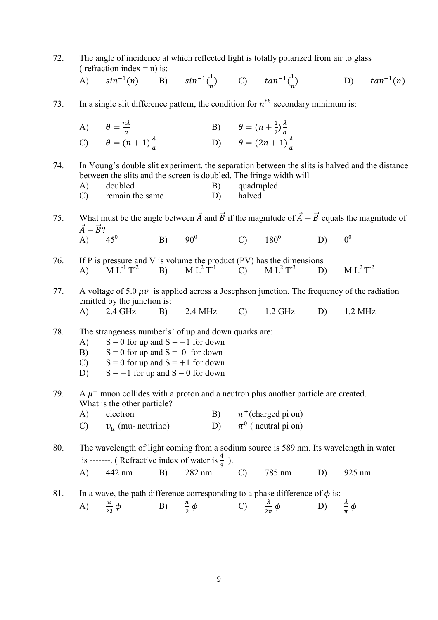72. The angle of incidence at which reflected light is totally polarized from air to glass ( refraction index =  $n$ ) is: A)  $sin^{-1}(n)$  B)  $sin^{-1}(\frac{1}{n})$  $\frac{1}{n}$  C)  $\tan^{-1}(\frac{1}{n})$  $\boldsymbol{n}$ D)  $tan^{-1}(n)$ 73. In a single slit difference pattern, the condition for  $n^{th}$  secondary minimum is: A)  $\theta = \frac{n\lambda}{a}$  $\it a$ B)  $\theta = (n + \frac{1}{2})$  $\frac{1}{2}$  $\frac{\lambda}{a}$  $\frac{a}{a}$ C)  $\theta = (n+1)\frac{\lambda}{a}$ D)  $\theta = (2n + 1)\frac{\lambda}{a}$ 74. In Young's double slit experiment, the separation between the slits is halved and the distance between the slits and the screen is doubled. The fringe width will A) doubled B) quadrupled C) remain the same D) halved 75. What must be the angle between  $\vec{A}$  and  $\vec{B}$  if the magnitude of  $\vec{A} + \vec{B}$  equals the magnitude of  $\vec{A} - \vec{B}$ ?<br>A) 45<sup>0</sup>  $\overline{A}$  $B)$  90<sup>0</sup> C)  $180^0$  D)  $0^0$ 76. If P is pressure and V is volume the product  $(PV)$  has the dimensions A)  $M L^{-1} T^{-2}$  B)  $M L^{2} T^{-1}$  C)  $M L^{2} T^{-3}$  D)  $M L^{2} T$  $M L<sup>2</sup> T<sup>-2</sup>$ 77. A voltage of 5.0  $\mu\nu$  is applied across a Josephson junction. The frequency of the radiation emitted by the junction is: A) 2.4 GHz B) 2.4 MHz C) 1.2 GHz D) 1.2 MHz 78. The strangeness number's' of up and down quarks are: A)  $S = 0$  for up and  $S = -1$  for down B)  $S = 0$  for up and  $S = 0$  for down C)  $S = 0$  for up and  $S = +1$  for down D)  $S = -1$  for up and  $S = 0$  for down 79. A  $\mu$ <sup>-</sup> muon collides with a proton and a neutron plus another particle are created. What is the other particle? A) electron B)  $\pi^+$ (charged pi on) C)  $v_{\mu}$  (mu- neutrino)  $<sup>0</sup>$  ( neutral pi on)</sup> 80. The wavelength of light coming from a sodium source is 589 nm. Its wavelength in water is -------. ( Refractive index of water is  $\frac{4}{3}$  ). A) 442 nm B) 282 nm C) 785 nm D) 925 nm 81. In a wave, the path difference corresponding to a phase difference of  $\phi$  is: A)  $\frac{\pi}{2} \phi$  $\frac{\pi}{2\lambda}\phi$  B)  $\frac{\pi}{2}\phi$  C)  $\frac{\lambda}{2\pi}$  $\phi$  D)  $\frac{\lambda}{\pi} \phi$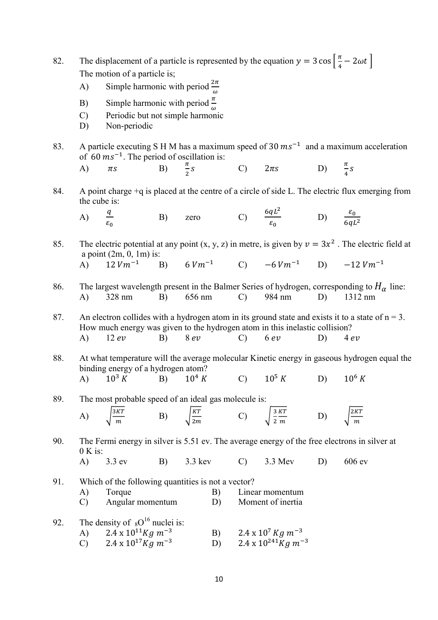| 82. | The displacement of a particle is represented by the equation $y = 3 \cos \left  \frac{\pi}{4} - 2 \omega t \right $                                                                                 |                                                                               |    |         |      |                                     |                                                                                                        |    |                                                                                                     |  |  |
|-----|------------------------------------------------------------------------------------------------------------------------------------------------------------------------------------------------------|-------------------------------------------------------------------------------|----|---------|------|-------------------------------------|--------------------------------------------------------------------------------------------------------|----|-----------------------------------------------------------------------------------------------------|--|--|
|     |                                                                                                                                                                                                      | The motion of a particle is;                                                  |    |         |      |                                     |                                                                                                        |    |                                                                                                     |  |  |
|     | A)                                                                                                                                                                                                   | Simple harmonic with period $\frac{2\pi}{\omega}$                             |    |         |      |                                     |                                                                                                        |    |                                                                                                     |  |  |
|     | B)                                                                                                                                                                                                   | Simple harmonic with period $\frac{\pi}{4}$                                   |    |         |      |                                     |                                                                                                        |    |                                                                                                     |  |  |
|     | Periodic but not simple harmonic<br>$\mathcal{C}$                                                                                                                                                    |                                                                               |    |         |      |                                     |                                                                                                        |    |                                                                                                     |  |  |
|     | D)                                                                                                                                                                                                   | Non-periodic                                                                  |    |         |      |                                     |                                                                                                        |    |                                                                                                     |  |  |
| 83. | A particle executing S H M has a maximum speed of 30 $ms^{-1}$ and a maximum acceleration<br>of 60 $ms^{-1}$ . The period of oscillation is:                                                         |                                                                               |    |         |      |                                     |                                                                                                        |    |                                                                                                     |  |  |
|     | A)                                                                                                                                                                                                   |                                                                               |    |         |      |                                     | $\pi s$ B) $\frac{\pi}{2}s$ C) $2\pi s$ D) $\frac{\pi}{4}s$                                            |    |                                                                                                     |  |  |
| 84. | the cube is:                                                                                                                                                                                         |                                                                               |    |         |      |                                     |                                                                                                        |    | A point charge $+q$ is placed at the centre of a circle of side L. The electric flux emerging from  |  |  |
|     |                                                                                                                                                                                                      |                                                                               |    |         |      |                                     | A) $\frac{q}{\varepsilon_0}$ B) zero C) $\frac{6qL^2}{\varepsilon_0}$ D) $\frac{\varepsilon_0}{6qL^2}$ |    |                                                                                                     |  |  |
| 85. | The electric potential at any point $(x, y, z)$ in metre, is given by $v = 3x^2$ . The electric field at<br>a point $(2m, 0, 1m)$ is:<br>A) $12Vm^{-1}$ B) $6Vm^{-1}$ C) $-6Vm^{-1}$ D) $-12Vm^{-1}$ |                                                                               |    |         |      |                                     |                                                                                                        |    |                                                                                                     |  |  |
|     |                                                                                                                                                                                                      |                                                                               |    |         |      |                                     |                                                                                                        |    |                                                                                                     |  |  |
| 86. | The largest wavelength present in the Balmer Series of hydrogen, corresponding to $H_{\alpha}$ line:                                                                                                 |                                                                               |    |         |      |                                     |                                                                                                        |    |                                                                                                     |  |  |
|     | (A)                                                                                                                                                                                                  | $328$ nm                                                                      |    |         |      |                                     | B) 656 nm C) 984 nm                                                                                    |    | $D)$ 1312 nm                                                                                        |  |  |
| 87. |                                                                                                                                                                                                      |                                                                               |    |         |      |                                     | How much energy was given to the hydrogen atom in this inelastic collision?                            |    | An electron collides with a hydrogen atom in its ground state and exists it to a state of $n = 3$ . |  |  |
|     | $\bf{A}$                                                                                                                                                                                             | 12 ev                                                                         | B) |         | 8 ev |                                     | C) $6 ev$                                                                                              | D) | 4 ev                                                                                                |  |  |
| 88. |                                                                                                                                                                                                      | binding energy of a hydrogen atom?                                            |    |         |      |                                     |                                                                                                        |    | At what temperature will the average molecular Kinetic energy in gaseous hydrogen equal the         |  |  |
|     |                                                                                                                                                                                                      | A) $10^3 K$ B) $10^4 K$                                                       |    |         |      |                                     | C) $10^5 K$ D) $10^6 K$                                                                                |    |                                                                                                     |  |  |
| 89. |                                                                                                                                                                                                      | The most probable speed of an ideal gas molecule is:                          |    |         |      |                                     |                                                                                                        |    |                                                                                                     |  |  |
|     | A)                                                                                                                                                                                                   | $\frac{3KT}{m}$                                                               |    |         |      |                                     | B) $\sqrt{\frac{KT}{2m}}$ C) $\sqrt{\frac{3 KT}{2 m}}$                                                 | D) | 2KT                                                                                                 |  |  |
|     |                                                                                                                                                                                                      |                                                                               |    |         |      |                                     |                                                                                                        |    |                                                                                                     |  |  |
| 90. | $0 K$ is:                                                                                                                                                                                            |                                                                               |    |         |      |                                     |                                                                                                        |    | The Fermi energy in silver is 5.51 ev. The average energy of the free electrons in silver at        |  |  |
|     | $\bf{A}$                                                                                                                                                                                             | 3.3 ev                                                                        | B) | 3.3 kev |      | $\mathcal{C}$                       | 3.3 Mev                                                                                                | D) | 606ev                                                                                               |  |  |
| 91. |                                                                                                                                                                                                      | Which of the following quantities is not a vector?                            |    |         |      |                                     |                                                                                                        |    |                                                                                                     |  |  |
|     | $\mathcal{C}$                                                                                                                                                                                        | A)<br>Torque<br>B)<br>Angular momentum<br>D)                                  |    |         |      |                                     | Linear momentum<br>Moment of inertia                                                                   |    |                                                                                                     |  |  |
|     |                                                                                                                                                                                                      |                                                                               |    |         |      |                                     |                                                                                                        |    |                                                                                                     |  |  |
| 92. | A)                                                                                                                                                                                                   | The density of ${}_{8}O^{16}$ nuclei is:<br>$2.4 \times 10^{11} Kg \; m^{-3}$ |    |         | B)   |                                     | $2.4 \times 10^7$ Kg m <sup>-3</sup>                                                                   |    |                                                                                                     |  |  |
|     | $2.4 \times 10^{17}$ Kg m <sup>-3</sup><br>$\mathcal{C}$<br>D)                                                                                                                                       |                                                                               |    |         |      | 2.4 x $10^{241}$ Kg m <sup>-3</sup> |                                                                                                        |    |                                                                                                     |  |  |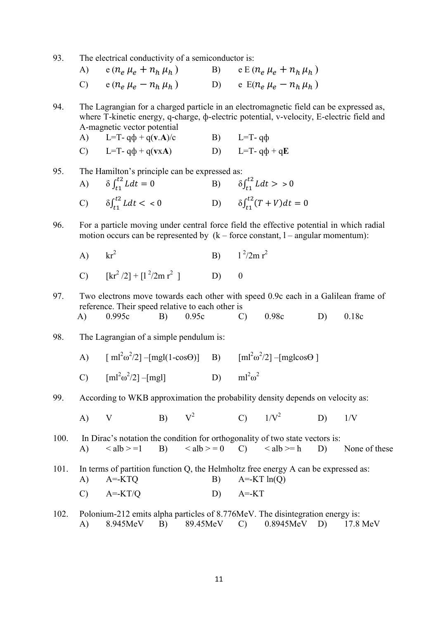93. The electrical conductivity of a semiconductor is:

A) 
$$
e(n_e \mu_e + n_h \mu_h)
$$
 B)  $e E(n_e \mu_e + n_h \mu_h)$   
\nC)  $e(n_e \mu_e - n_h \mu_h)$  D)  $e E(n_e \mu_e - n_h \mu_h)$ 

94. The Lagrangian for a charged particle in an electromagnetic field can be expressed as, where T-kinetic energy, q-charge, ф-electric potential, v-velocity, E-electric field and A-magnetic vector potential

A) L=T-  $q\phi + q(v.A)/c$  B) L=T-  $q\phi$ 

C) L=T-  $q\phi + q(vxA)$  D) L=T-  $q\phi + qE$ 

95. The Hamilton's principle can be expressed as:

| A) $\delta \int_{t_1}^{t_2} L dt = 0$ | B) $\delta \int_{t_1}^{t_2} L dt > 0$       |
|---------------------------------------|---------------------------------------------|
| C) $\delta \int_{t_1}^{t_2} L dt < 0$ | D) $\delta \int_{t_1}^{t_2} (T + V) dt = 0$ |

96. For a particle moving under central force field the effective potential in which radial motion occurs can be represented by  $(k - force constant, 1 - angular momentum)$ :

A) 
$$
kr^2
$$
 B)  $1^2/2m r^2$ 

C) 
$$
[kr^2/2] + [l^2/2m r^2]
$$
 D) 0

- 97. Two electrons move towards each other with speed 0.9c each in a Galilean frame of reference. Their speed relative to each other is A) 0.995c B) 0.95c C) 0.98c D) 0.18c
- 98. The Lagrangian of a simple pendulum is:
	- A)  $[ml^2\omega^2/2] [mgl(1-\cos\Theta)]$  B)  $[ml^2\omega^2]$  $^{2}/2$ ] –[mglcos $\Theta$ ]
	- C)  $[ml^2\omega^2/2] [mgl]$  D)  $ml^2\omega^2$  $ml^2\omega^2$
- 99. According to WKB approximation the probability density depends on velocity as:

A) V B)  $V^2$  $V^2$  C)  $1/V^2$  $D)$  1/V

- 100. In Dirac's notation the condition for orthogonality of two state vectors is: A)  $\langle \text{alb} \rangle = 1$  B)  $\langle \text{alb} \rangle = 0$  C)  $\langle \text{alb} \rangle = \text{h}$  D) None of these
- 101. In terms of partition function Q, the Helmholtz free energy A can be expressed as: A)  $A = KTQ$  B)  $A = KT \ln(Q)$ C)  $A=KT/Q$  D)  $A=KT$
- 102. Polonium-212 emits alpha particles of 8.776MeV. The disintegration energy is: A) 8.945MeV B) 89.45MeV C) 0.8945MeV D) 17.8 MeV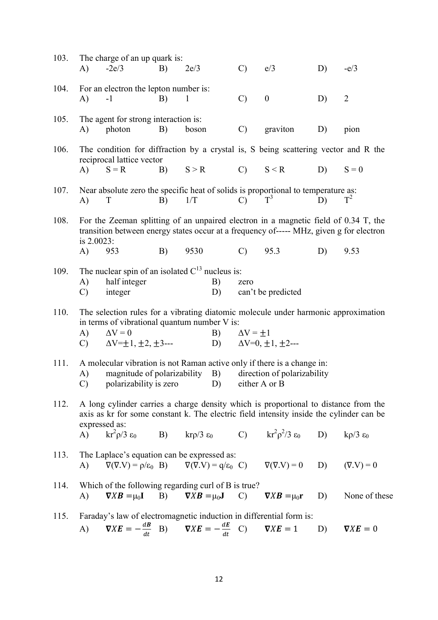| 103. | A)                                                                                                                                                                                              | The charge of an up quark is:<br>$-2e/3$                                                                                                                                                        | B) | 2e/3         |              | $\mathcal{C}$         | e/3                                                                                                                                                               | D) | $-e/3$                   |  |
|------|-------------------------------------------------------------------------------------------------------------------------------------------------------------------------------------------------|-------------------------------------------------------------------------------------------------------------------------------------------------------------------------------------------------|----|--------------|--------------|-----------------------|-------------------------------------------------------------------------------------------------------------------------------------------------------------------|----|--------------------------|--|
| 104. | A)                                                                                                                                                                                              | For an electron the lepton number is:<br>$-1$                                                                                                                                                   | B) | $\mathbf{1}$ |              | $\mathcal{C}$         | $\boldsymbol{0}$                                                                                                                                                  | D) | $\overline{2}$           |  |
| 105. | A)                                                                                                                                                                                              | The agent for strong interaction is:<br>photon                                                                                                                                                  | B) | boson        |              | $\mathcal{C}$         | graviton                                                                                                                                                          | D) | pion                     |  |
| 106. |                                                                                                                                                                                                 | The condition for diffraction by a crystal is, S being scattering vector and R the<br>reciprocal lattice vector                                                                                 |    |              |              |                       |                                                                                                                                                                   |    |                          |  |
|      | A)                                                                                                                                                                                              | $S = R$                                                                                                                                                                                         |    |              | $B)$ $S > R$ |                       | $C)$ $S < R$                                                                                                                                                      | D) | $S = 0$                  |  |
| 107. | A)                                                                                                                                                                                              | Near absolute zero the specific heat of solids is proportional to temperature as:<br>T                                                                                                          | B) | 1/T          |              | $C)$ $T^3$            |                                                                                                                                                                   | D) | $T^2$                    |  |
| 108. | is 2.0023:                                                                                                                                                                                      | For the Zeeman splitting of an unpaired electron in a magnetic field of 0.34 T, the<br>transition between energy states occur at a frequency of----- MHz, given g for electron                  |    |              |              |                       |                                                                                                                                                                   |    |                          |  |
|      | A)                                                                                                                                                                                              | 953                                                                                                                                                                                             | B) | 9530         |              | $\mathcal{C}$         | 95.3                                                                                                                                                              | D) | 9.53                     |  |
| 109. | The nuclear spin of an isolated $C^{13}$ nucleus is:<br>half integer<br>A)<br>B)<br>zero<br>integer<br>D)<br>can't be predicted<br>$\mathcal{C}$                                                |                                                                                                                                                                                                 |    |              |              |                       |                                                                                                                                                                   |    |                          |  |
| 110. |                                                                                                                                                                                                 | The selection rules for a vibrating diatomic molecule under harmonic approximation<br>in terms of vibrational quantum number V is:<br>$\Delta V = 0$                                            |    |              |              |                       |                                                                                                                                                                   |    |                          |  |
|      | A)<br>$\mathbf{C}$ )                                                                                                                                                                            | $\Delta V = \pm 1, \pm 2, \pm 3$ ---                                                                                                                                                            |    |              |              | B) $\Delta V = \pm 1$ | D) $\Delta V=0, \pm 1, \pm 2$ ---                                                                                                                                 |    |                          |  |
| 111. | A molecular vibration is not Raman active only if there is a change in:<br>magnitude of polarizability B)<br>direction of polarizability<br>A)<br>C) polarizability is zero D)<br>either A or B |                                                                                                                                                                                                 |    |              |              |                       |                                                                                                                                                                   |    |                          |  |
| 112. |                                                                                                                                                                                                 | A long cylinder carries a charge density which is proportional to distance from the<br>axis as kr for some constant k. The electric field intensity inside the cylinder can be<br>expressed as: |    |              |              |                       |                                                                                                                                                                   |    |                          |  |
|      |                                                                                                                                                                                                 | A) $\text{kr}^2 \rho/3 \epsilon_0$                                                                                                                                                              |    |              |              |                       | B) $\text{kr}\rho/3 \varepsilon_0$ C) $\text{kr}^2\rho^2/3 \varepsilon_0$ D)                                                                                      |    | $k\rho/3$ ε <sub>0</sub> |  |
| 113. | A)                                                                                                                                                                                              | The Laplace's equation can be expressed as:                                                                                                                                                     |    |              |              |                       | $\nabla(\nabla.\mathbf{V}) = \rho/\varepsilon_0$ B) $\nabla(\nabla.\mathbf{V}) = q/\varepsilon_0$ C) $\nabla(\nabla.\mathbf{V}) = 0$ D) $(\nabla.\mathbf{V}) = 0$ |    |                          |  |
| 114. | A)                                                                                                                                                                                              | Which of the following regarding curl of B is true?<br>$\nabla X \mathbf{B} = \mu_0 \mathbf{I}$ B) $\nabla X \mathbf{B} = \mu_0 \mathbf{J}$ C)                                                  |    |              |              |                       | $\nabla X \mathbf{B} = \mu_0 \mathbf{r}$                                                                                                                          | D) | None of these            |  |
| 115. |                                                                                                                                                                                                 | Faraday's law of electromagnetic induction in differential form is:<br>A) $\nabla X E = -\frac{dB}{dt}$ B) $\nabla X E = -\frac{dE}{dt}$ C) $\nabla X E = 1$                                    |    |              |              |                       |                                                                                                                                                                   | D) | $\nabla X E = 0$         |  |